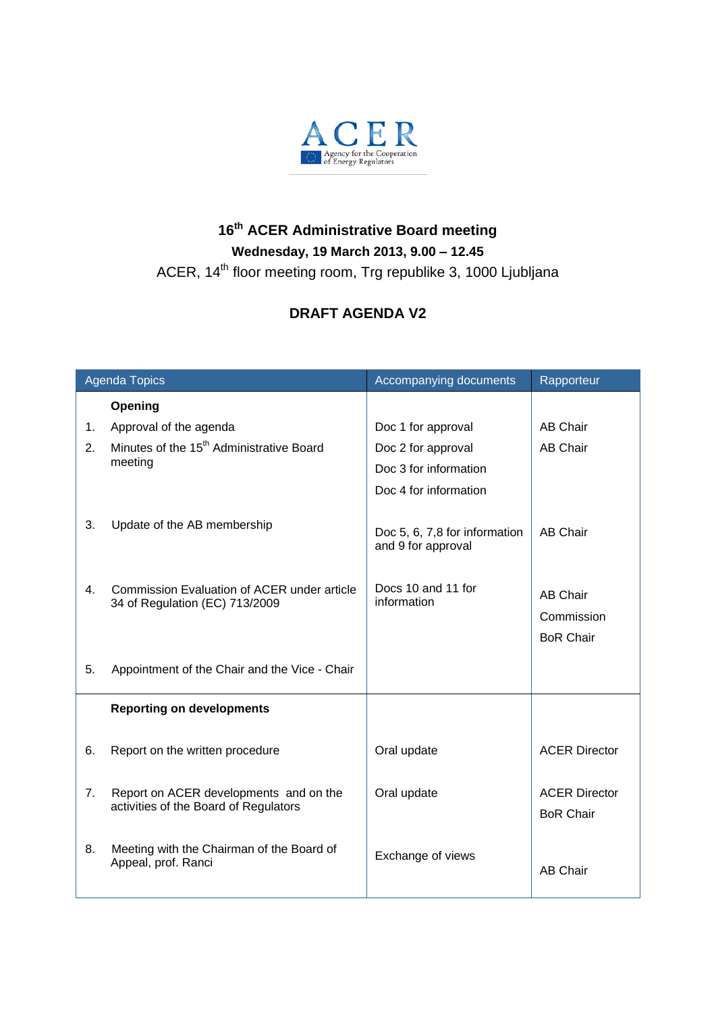

## **16 th ACER Administrative Board meeting Wednesday, 19 March 2013, 9.00 – 12.45**

ACER, 14<sup>th</sup> floor meeting room, Trg republike 3, 1000 Ljubljana

## **DRAFT AGENDA V2**

| <b>Agenda Topics</b> |                                                                                 | Accompanying documents                              | Rapporteur                                        |
|----------------------|---------------------------------------------------------------------------------|-----------------------------------------------------|---------------------------------------------------|
|                      | Opening                                                                         |                                                     |                                                   |
| 1.                   | Approval of the agenda                                                          | Doc 1 for approval                                  | <b>AB Chair</b>                                   |
| 2.                   | Minutes of the 15 <sup>th</sup> Administrative Board<br>meeting                 | Doc 2 for approval                                  | <b>AB Chair</b>                                   |
|                      |                                                                                 | Doc 3 for information                               |                                                   |
|                      |                                                                                 | Doc 4 for information                               |                                                   |
| 3.                   | Update of the AB membership                                                     | Doc 5, 6, 7,8 for information<br>and 9 for approval | <b>AB Chair</b>                                   |
| 4.                   | Commission Evaluation of ACER under article<br>34 of Regulation (EC) 713/2009   | Docs 10 and 11 for<br>information                   | <b>AB Chair</b><br>Commission<br><b>BoR Chair</b> |
| 5.                   | Appointment of the Chair and the Vice - Chair                                   |                                                     |                                                   |
|                      | <b>Reporting on developments</b>                                                |                                                     |                                                   |
| 6.                   | Report on the written procedure                                                 | Oral update                                         | <b>ACER Director</b>                              |
| 7 <sub>1</sub>       | Report on ACER developments and on the<br>activities of the Board of Regulators | Oral update                                         | <b>ACER Director</b><br><b>BoR Chair</b>          |
| 8.                   | Meeting with the Chairman of the Board of<br>Appeal, prof. Ranci                | Exchange of views                                   | <b>AB Chair</b>                                   |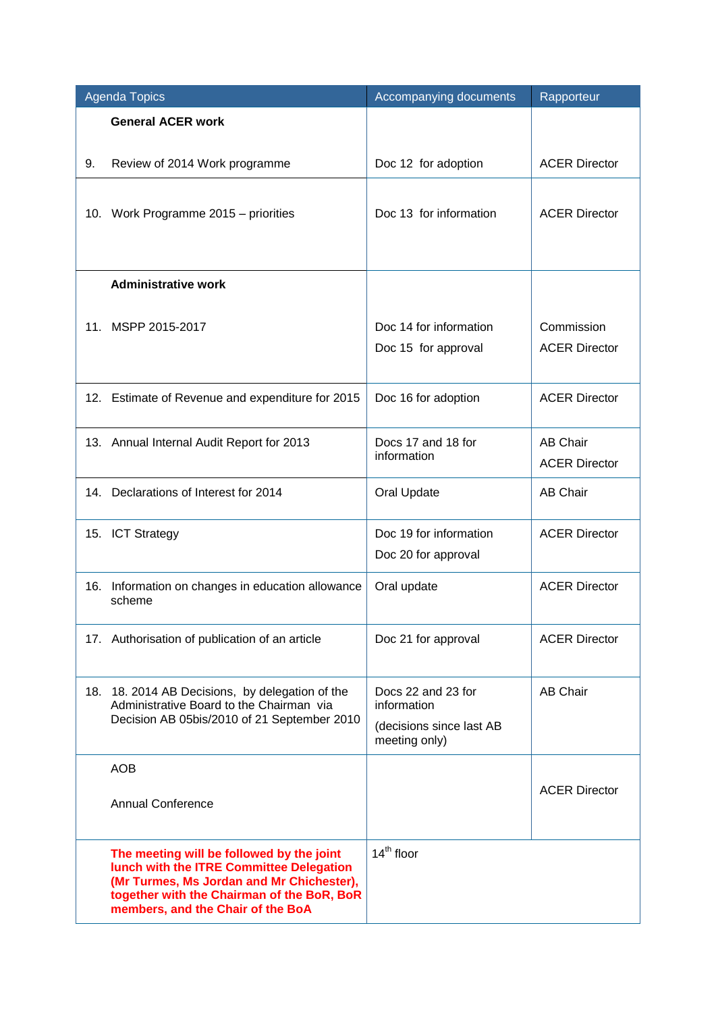| <b>Agenda Topics</b> |                                                                                                                                                                                                                       | Accompanying documents                                                         | Rapporteur                              |
|----------------------|-----------------------------------------------------------------------------------------------------------------------------------------------------------------------------------------------------------------------|--------------------------------------------------------------------------------|-----------------------------------------|
|                      | <b>General ACER work</b>                                                                                                                                                                                              |                                                                                |                                         |
| 9.                   | Review of 2014 Work programme                                                                                                                                                                                         | Doc 12 for adoption                                                            | <b>ACER Director</b>                    |
|                      | 10. Work Programme 2015 - priorities                                                                                                                                                                                  | Doc 13 for information                                                         | <b>ACER Director</b>                    |
|                      | <b>Administrative work</b>                                                                                                                                                                                            |                                                                                |                                         |
|                      | 11. MSPP 2015-2017                                                                                                                                                                                                    | Doc 14 for information<br>Doc 15 for approval                                  | Commission<br><b>ACER Director</b>      |
|                      | 12. Estimate of Revenue and expenditure for 2015                                                                                                                                                                      | Doc 16 for adoption                                                            | <b>ACER Director</b>                    |
|                      | 13. Annual Internal Audit Report for 2013                                                                                                                                                                             | Docs 17 and 18 for<br>information                                              | <b>AB Chair</b><br><b>ACER Director</b> |
|                      | 14. Declarations of Interest for 2014                                                                                                                                                                                 | Oral Update                                                                    | <b>AB Chair</b>                         |
|                      | 15. ICT Strategy                                                                                                                                                                                                      | Doc 19 for information<br>Doc 20 for approval                                  | <b>ACER Director</b>                    |
|                      | 16. Information on changes in education allowance<br>scheme                                                                                                                                                           | Oral update                                                                    | <b>ACER Director</b>                    |
|                      | 17. Authorisation of publication of an article                                                                                                                                                                        | Doc 21 for approval                                                            | <b>ACER Director</b>                    |
|                      | 18. 18. 2014 AB Decisions, by delegation of the<br>Administrative Board to the Chairman via<br>Decision AB 05bis/2010 of 21 September 2010                                                                            | Docs 22 and 23 for<br>information<br>(decisions since last AB<br>meeting only) | <b>AB Chair</b>                         |
|                      | <b>AOB</b>                                                                                                                                                                                                            |                                                                                |                                         |
|                      | <b>Annual Conference</b>                                                                                                                                                                                              |                                                                                | <b>ACER Director</b>                    |
|                      | The meeting will be followed by the joint<br>lunch with the ITRE Committee Delegation<br>(Mr Turmes, Ms Jordan and Mr Chichester),<br>together with the Chairman of the BoR, BoR<br>members, and the Chair of the BoA | $14th$ floor                                                                   |                                         |